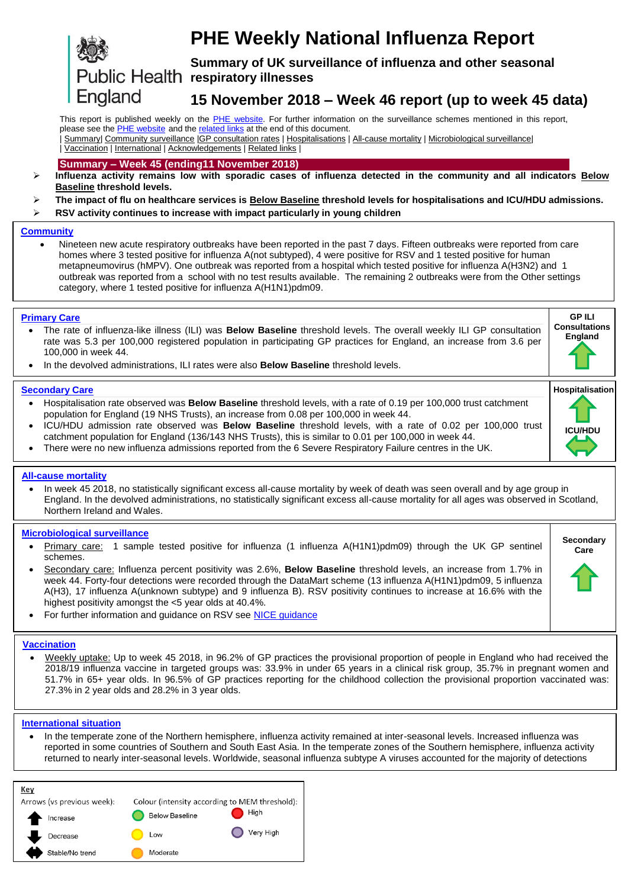# England

# **PHE Weekly National Influenza Report**

**Summary of UK surveillance of influenza and other seasonal**  Public Health respiratory illnesses

## <span id="page-0-0"></span>**15 November 2018 – Week 46 report (up to week 45 data)**

<span id="page-0-1"></span>This report is published weekly on the PHE [website.](https://www.gov.uk/government/publications/weekly-national-flu-reports) For further information on the surveillance schemes mentioned in this report, please see the **PHE** [website](https://www.gov.uk/sources-of-uk-flu-data-influenza-surveillance-in-the-uk) and th[e related links](#page-10-0) at the end of this document.

| [Summary|](#page-0-0) [Community surveillance](#page-1-0) [|GP consultation rates](#page-2-0) | [Hospitalisations](#page-3-0) [| All-cause mortality](#page-4-0) [| Microbiological surveillance|](#page-5-0) | [Vaccination](#page-7-0) | [International](#page-8-0) | [Acknowledgements](#page-10-1) [| Related links](#page-10-0) |

## **Summary – Week 45 (ending11 November 2018)**

- **Influenza activity remains low with sporadic cases of influenza detected in the community and all indicators Below Baseline threshold levels.**
- **The impact of flu on healthcare services is Below Baseline threshold levels for hospitalisations and ICU/HDU admissions.**
- **RSV activity continues to increase with impact particularly in young children**

#### **[Community](#page-1-0)**

 Nineteen new acute respiratory outbreaks have been reported in the past 7 days. Fifteen outbreaks were reported from care homes where 3 tested positive for influenza A(not subtyped), 4 were positive for RSV and 1 tested positive for human metapneumovirus (hMPV). One outbreak was reported from a hospital which tested positive for influenza A(H3N2) and 1 outbreak was reported from a school with no test results available. The remaining 2 outbreaks were from the Other settings category, where 1 tested positive for influenza A(H1N1)pdm09.

#### **[Primary Care](#page-2-0)**

- The rate of influenza-like illness (ILI) was **Below Baseline** threshold levels. The overall weekly ILI GP consultation rate was 5.3 per 100,000 registered population in participating GP practices for England, an increase from 3.6 per 100,000 in week 44. **Consultations England**
- In the devolved administrations, ILI rates were also **Below Baseline** threshold levels.

#### **[Secondary Care](#page-3-0)**

- Hospitalisation rate observed was **Below Baseline** threshold levels, with a rate of 0.19 per 100,000 trust catchment population for England (19 NHS Trusts), an increase from 0.08 per 100,000 in week 44.
- ICU/HDU admission rate observed was **Below Baseline** threshold levels, with a rate of 0.02 per 100,000 trust catchment population for England (136/143 NHS Trusts), this is similar to 0.01 per 100,000 in week 44.
- There were no new influenza admissions reported from the 6 Severe Respiratory Failure centres in the UK.

#### **[All-cause mortality](#page-4-0)**

 In week 45 2018, no statistically significant excess all-cause mortality by week of death was seen overall and by age group in England. In the devolved administrations, no statistically significant excess all-cause mortality for all ages was observed in Scotland, Northern Ireland and Wales.

#### **[Microbiological surveillance](#page-5-0)**

- Primary care: 1 sample tested positive for influenza (1 influenza A(H1N1)pdm09) through the UK GP sentinel schemes.
- Secondary care: Influenza percent positivity was 2.6%, **Below Baseline** threshold levels, an increase from 1.7% in week 44. Forty-four detections were recorded through the DataMart scheme (13 influenza A(H1N1)pdm09, 5 influenza A(H3), 17 influenza A(unknown subtype) and 9 influenza B). RSV positivity continues to increase at 16.6% with the highest positivity amongst the <5 year olds at 40.4%.
- **Care**

**Secondary** 

**GP ILI** 

**Hospitalisation**

**ICU/HDU**

For further information and guidance on RSV see [NICE guidance](https://bnf.nice.org.uk/treatment-summary/respiratory-syncytial-virus.html)

#### **[Vaccination](#page-7-0)**

 Weekly uptake: Up to week 45 2018, in 96.2% of GP practices the provisional proportion of people in England who had received the 2018/19 influenza vaccine in targeted groups was: 33.9% in under 65 years in a clinical risk group, 35.7% in pregnant women and 51.7% in 65+ year olds. In 96.5% of GP practices reporting for the childhood collection the provisional proportion vaccinated was: 27.3% in 2 year olds and 28.2% in 3 year olds.

#### **[International situation](#page-8-0)**

• In the temperate zone of the Northern hemisphere, influenza activity remained at inter-seasonal levels. Increased influenza was reported in some countries of Southern and South East Asia. In the temperate zones of the Southern hemisphere, influenza activity returned to nearly inter-seasonal levels. Worldwide, seasonal influenza subtype A viruses accounted for the majority of detections

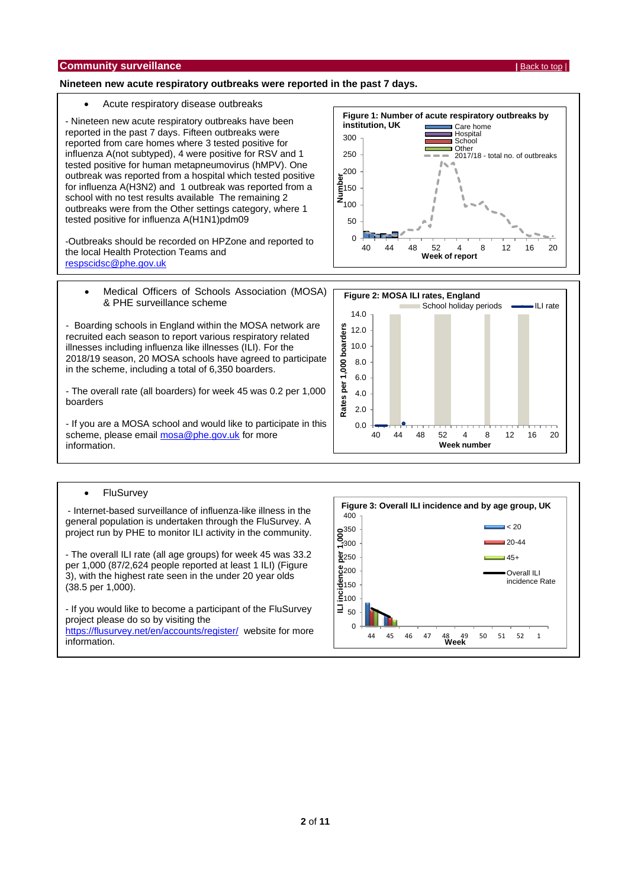#### <span id="page-1-0"></span>**Nineteen new acute respiratory outbreaks were reported in the past 7 days.**

#### Acute respiratory disease outbreaks

- Nineteen new acute respiratory outbreaks have been reported in the past 7 days. Fifteen outbreaks were reported from care homes where 3 tested positive for influenza A(not subtyped), 4 were positive for RSV and 1 tested positive for human metapneumovirus (hMPV). One outbreak was reported from a hospital which tested positive for influenza A(H3N2) and 1 outbreak was reported from a school with no test results available The remaining 2 outbreaks were from the Other settings category, where 1 tested positive for influenza A(H1N1)pdm09

-Outbreaks should be recorded on HPZone and reported to the local Health Protection Teams and [respscidsc@phe.gov.uk](mailto:respscidsc@phe.gov.uk)

• Medical Officers of Schools Association (MOSA) & PHE surveillance scheme

- Boarding schools in England within the MOSA network are recruited each season to report various respiratory related illnesses including influenza like illnesses (ILI). For the 2018/19 season, 20 MOSA schools have agreed to participate in the scheme, including a total of 6,350 boarders.

- The overall rate (all boarders) for week 45 was 0.2 per 1,000 boarders

- If you are a MOSA school and would like to participate in this scheme, please email [mosa@phe.gov.uk](mailto:mosa@phe.gov.uk) for more information.

#### • FluSurvey

- Internet-based surveillance of influenza-like illness in the general population is undertaken through the FluSurvey. A project run by PHE to monitor ILI activity in the community.

- The overall ILI rate (all age groups) for week 45 was 33.2 per 1,000 (87/2,624 people reported at least 1 ILI) (Figure 3), with the highest rate seen in the under 20 year olds (38.5 per 1,000).

- If you would like to become a participant of the FluSurvey project please do so by visiting the <https://flusurvey.net/en/accounts/register/> website for more information.





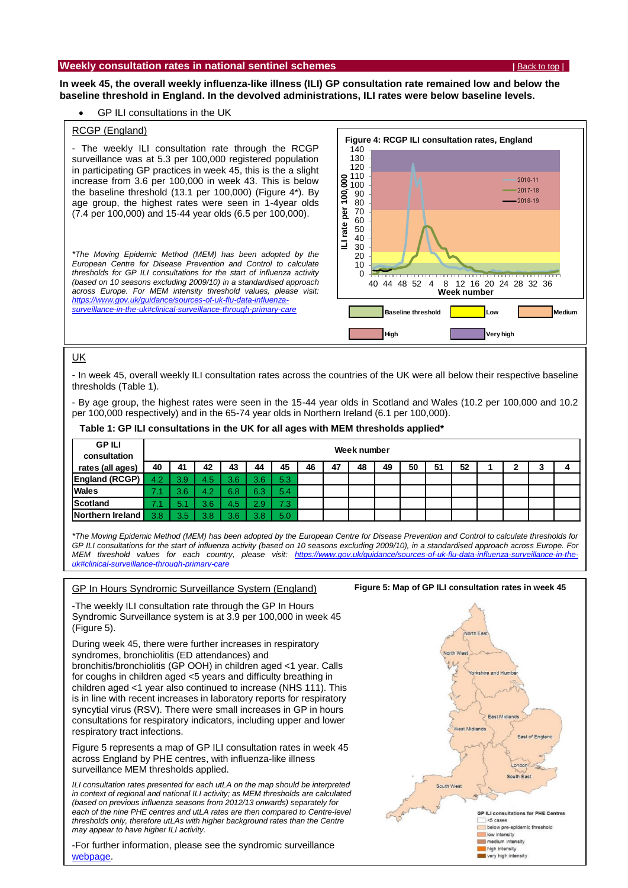#### <span id="page-2-0"></span>**Weekly consultation rates in national sentinel schemes <b>by the senting of the senting of the set of the set of top** |

**In week 45, the overall weekly influenza-like illness (ILI) GP consultation rate remained low and below the baseline threshold in England. In the devolved administrations, ILI rates were below baseline levels.**

#### GP ILI consultations in the UK

#### RCGP (England)

- The weekly ILI consultation rate through the RCGP surveillance was at 5.3 per 100,000 registered population in participating GP practices in week 45, this is the a slight increase from 3.6 per 100,000 in week 43. This is below the baseline threshold (13.1 per 100,000) (Figure 4\*). By age group, the highest rates were seen in 1-4year olds (7.4 per 100,000) and 15-44 year olds (6.5 per 100,000).

*\*The Moving Epidemic Method (MEM) has been adopted by the European Centre for Disease Prevention and Control to calculate thresholds for GP ILI consultations for the start of influenza activity (based on 10 seasons excluding 2009/10) in a standardised approach across Europe. For MEM intensity threshold values, please visit: [https://www.gov.uk/guidance/sources-of-uk-flu-data-influenza](https://www.gov.uk/guidance/sources-of-uk-flu-data-influenza-surveillance-in-the-uk#clinical-surveillance-through-primary-care)[surveillance-in-the-uk#clinical-surveillance-through-primary-care](https://www.gov.uk/guidance/sources-of-uk-flu-data-influenza-surveillance-in-the-uk#clinical-surveillance-through-primary-care)*



#### UK

- In week 45, overall weekly ILI consultation rates across the countries of the UK were all below their respective baseline thresholds (Table 1).

- By age group, the highest rates were seen in the 15-44 year olds in Scotland and Wales (10.2 per 100,000 and 10.2 per 100,000 respectively) and in the 65-74 year olds in Northern Ireland (6.1 per 100,000).

#### **Table 1: GP ILI consultations in the UK for all ages with MEM thresholds applied\***

| <b>GPILI</b><br>consultation | Week number |                  |     |     |     |     |    |    |    |    |    |    |    |  |  |   |
|------------------------------|-------------|------------------|-----|-----|-----|-----|----|----|----|----|----|----|----|--|--|---|
| rates (all ages)             | 40          | 41               | 42  | 43  | 44  | 45  | 46 | 47 | 48 | 49 | 50 | 51 | 52 |  |  | 4 |
| <b>England (RCGP)</b>        | 4.2         | 3.9 <sup>1</sup> | 4.5 | 3.6 | 3.6 | 5.3 |    |    |    |    |    |    |    |  |  |   |
| <b>Wales</b>                 | 7.1         | 3.6              | 4.2 | 6.8 | 6.3 | 5.4 |    |    |    |    |    |    |    |  |  |   |
| <b>Scotland</b>              | 7.1         |                  | 3.6 | 4.5 | 2.9 | 7.3 |    |    |    |    |    |    |    |  |  |   |
| Northern Ireland             | 3.8         | 3.5 <sup>°</sup> | 3.8 | 3 6 | 3.8 | 5.0 |    |    |    |    |    |    |    |  |  |   |

*\*The Moving Epidemic Method (MEM) has been adopted by the European Centre for Disease Prevention and Control to calculate thresholds for GP ILI consultations for the start of influenza activity (based on 10 seasons excluding 2009/10), in a standardised approach across Europe. For MEM threshold values for each country, please visit: [https://www.gov.uk/guidance/sources-of-uk-flu-data-influenza-surveillance-in-the](https://www.gov.uk/guidance/sources-of-uk-flu-data-influenza-surveillance-in-the-uk#clinical-surveillance-through-primary-care)[uk#clinical-surveillance-through-primary-care](https://www.gov.uk/guidance/sources-of-uk-flu-data-influenza-surveillance-in-the-uk#clinical-surveillance-through-primary-care)*

GP In Hours Syndromic Surveillance System (England)

-The weekly ILI consultation rate through the GP In Hours Syndromic Surveillance system is at 3.9 per 100,000 in week 45 (Figure 5).

During week 45, there were further increases in respiratory syndromes, bronchiolitis (ED attendances) and bronchitis/bronchiolitis (GP OOH) in children aged <1 year. Calls for coughs in children aged <5 years and difficulty breathing in children aged <1 year also continued to increase (NHS 111). This is in line with recent increases in laboratory reports for respiratory syncytial virus (RSV). There were small increases in GP in hours consultations for respiratory indicators, including upper and lower respiratory tract infections.

Figure 5 represents a map of GP ILI consultation rates in week 45 across England by PHE centres, with influenza-like illness surveillance MEM thresholds applied.

**3** of **11** *thresholds only, therefore utLAs with higher background rates than the Centre ILI consultation rates presented for each utLA on the map should be interpreted in context of regional and national ILI activity; as MEM thresholds are calculated (based on previous influenza seasons from 2012/13 onwards) separately for each of the nine PHE centres and utLA rates are then compared to Centre-level may appear to have higher ILI activity.* 

-For further information, please see the syndromic surveillance [webpage.](https://www.gov.uk/government/publications/gp-in-hours-weekly-bulletins-for-2018)

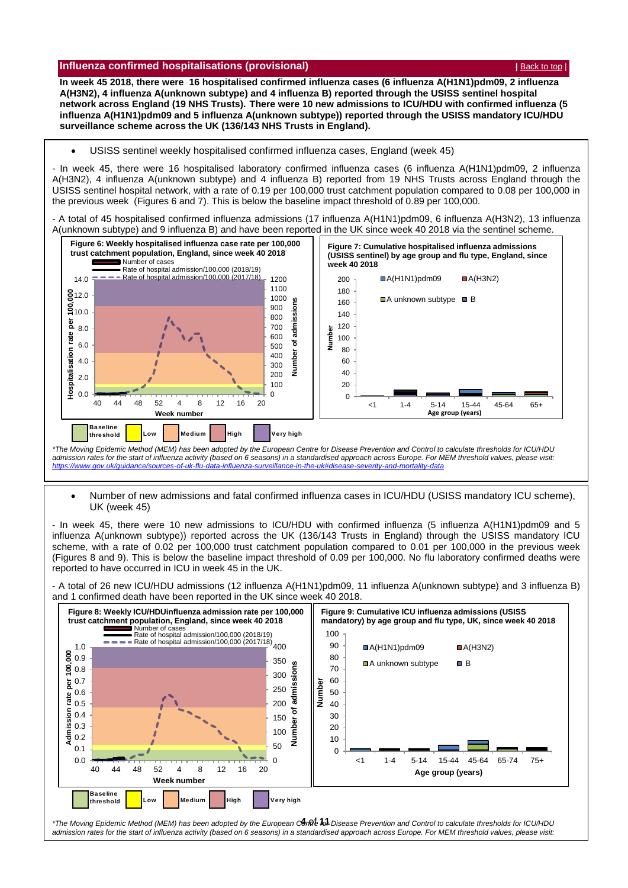#### <span id="page-3-0"></span>**Influenza confirmed hospitalisations (provisional) <b>According to the CONFIGUATION**  $\left| \frac{\text{Back to top}}{\text{Back to top}} \right|$  $\left| \frac{\text{Back to top}}{\text{Back to top}} \right|$  $\left| \frac{\text{Back to top}}{\text{Back to top}} \right|$

**In week 45 2018, there were 16 hospitalised confirmed influenza cases (6 influenza A(H1N1)pdm09, 2 influenza A(H3N2), 4 influenza A(unknown subtype) and 4 influenza B) reported through the USISS sentinel hospital network across England (19 NHS Trusts). There were 10 new admissions to ICU/HDU with confirmed influenza (5 influenza A(H1N1)pdm09 and 5 influenza A(unknown subtype)) reported through the USISS mandatory ICU/HDU surveillance scheme across the UK (136/143 NHS Trusts in England).**

#### USISS sentinel weekly hospitalised confirmed influenza cases, England (week 45)

- In week 45, there were 16 hospitalised laboratory confirmed influenza cases (6 influenza A(H1N1)pdm09, 2 influenza A(H3N2), 4 influenza A(unknown subtype) and 4 influenza B) reported from 19 NHS Trusts across England through the USISS sentinel hospital network, with a rate of 0.19 per 100,000 trust catchment population compared to 0.08 per 100,000 in the previous week (Figures 6 and 7). This is below the baseline impact threshold of 0.89 per 100,000.

- A total of 45 hospitalised confirmed influenza admissions (17 influenza A(H1N1)pdm09, 6 influenza A(H3N2), 13 influenza A(unknown subtype) and 9 influenza B) and have been reported in the UK since week 40 2018 via the sentinel scheme.



*admission rates for the start of influenza activity (based on 6 seasons) in a standardised approach across Europe. For MEM threshold values, please visit: <https://www.gov.uk/guidance/sources-of-uk-flu-data-influenza-surveillance-in-the-uk#disease-severity-and-mortality-data>*

 Number of new admissions and fatal confirmed influenza cases in ICU/HDU (USISS mandatory ICU scheme), UK (week 45)

- In week 45, there were 10 new admissions to ICU/HDU with confirmed influenza (5 influenza A(H1N1)pdm09 and 5 influenza A(unknown subtype)) reported across the UK (136/143 Trusts in England) through the USISS mandatory ICU scheme, with a rate of 0.02 per 100,000 trust catchment population compared to 0.01 per 100,000 in the previous week (Figures 8 and 9). This is below the baseline impact threshold of 0.09 per 100,000. No flu laboratory confirmed deaths were reported to have occurred in ICU in week 45 in the UK.

- A total of 26 new ICU/HDU admissions (12 influenza A(H1N1)pdm09, 11 influenza A(unknown subtype) and 3 influenza B) and 1 confirmed death have been reported in the UK since week 40 2018.



*admission rates for the start of influenza activity (based on 6 seasons) in a standardised approach across Europe. For MEM threshold values, please visit: <https://www.gov.uk/guidance/sources-of-uk-flu-data-influenza-surveillance-in-the-uk#disease-severity-and-mortality-data>*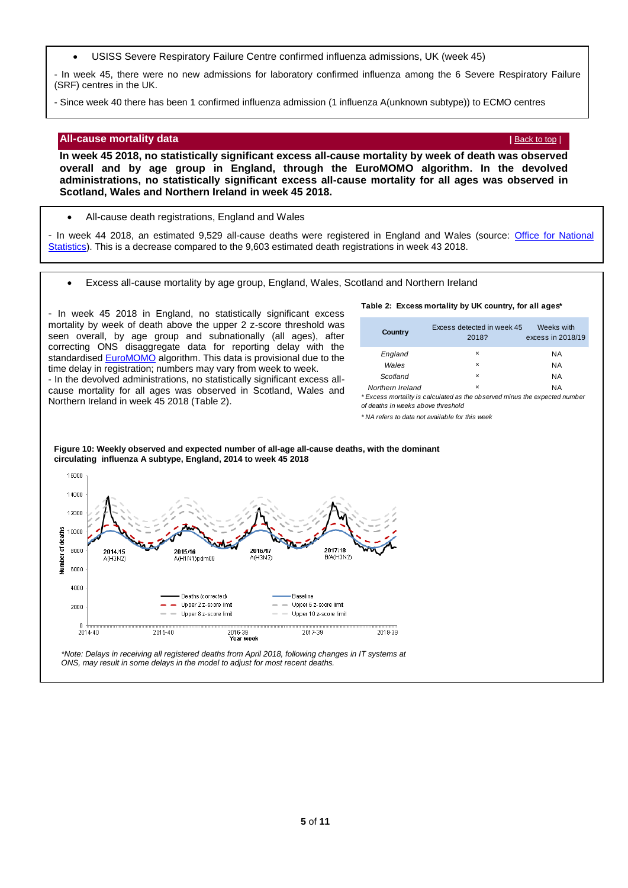USISS Severe Respiratory Failure Centre confirmed influenza admissions, UK (week 45)

<span id="page-4-0"></span>- In week 45, there were no new admissions for laboratory confirmed influenza among the 6 Severe Respiratory Failure (SRF) centres in the UK.

- Since week 40 there has been 1 confirmed influenza admission (1 influenza A(unknown subtype)) to ECMO centres

#### **All-cause mortality data** *[Back to top](#page-0-1) | <b>Back to top | Back to top |* Back to top | **Back to top | Back to top |**

**In week 45 2018, no statistically significant excess all-cause mortality by week of death was observed overall and by age group in England, through the EuroMOMO algorithm. In the devolved administrations, no statistically significant excess all-cause mortality for all ages was observed in Scotland, Wales and Northern Ireland in week 45 2018.**

All-cause death registrations, England and Wales

- In week 44 2018, an estimated 9,529 all-cause deaths were registered in England and Wales (source: [Office for National](http://www.ons.gov.uk/peoplepopulationandcommunity/birthsdeathsandmarriages/deaths/datasets/weeklyprovisionalfiguresondeathsregisteredinenglandandwales)  [Statistics\)](http://www.ons.gov.uk/peoplepopulationandcommunity/birthsdeathsandmarriages/deaths/datasets/weeklyprovisionalfiguresondeathsregisteredinenglandandwales). This is a decrease compared to the 9,603 estimated death registrations in week 43 2018.

Excess all-cause mortality by age group, England, Wales, Scotland and Northern Ireland

- In week 45 2018 in England, no statistically significant excess mortality by week of death above the upper 2 z-score threshold was seen overall, by age group and subnationally (all ages), after correcting ONS disaggregate data for reporting delay with the standardised [EuroMOMO](http://www.euromomo.eu/) algorithm. This data is provisional due to the time delay in registration; numbers may vary from week to week. - In the devolved administrations, no statistically significant excess allcause mortality for all ages was observed in Scotland, Wales and Northern Ireland in week 45 2018 (Table 2).

#### **Table 2: Excess mortality by UK country, for all ages\***

| Country          | Excess detected in week 45<br>2018? | Weeks with<br>excess in 2018/19 |
|------------------|-------------------------------------|---------------------------------|
| England          | ×                                   | NA                              |
| Wales            | ×                                   | NA                              |
| Scotland         | ×                                   | NA                              |
| Northern Ireland | ×                                   | <b>NA</b>                       |

*\* Excess mortality is calculated as the observed minus the expected number of deaths in weeks above threshold* 

*\* NA refers to data not available for this week*



**Figure 10: Weekly observed and expected number of all-age all-cause deaths, with the dominant circulating influenza A subtype, England, 2014 to week 45 2018**

*\*Note: Delays in receiving all registered deaths from April 2018, following changes in IT systems at ONS, may result in some delays in the model to adjust for most recent deaths.*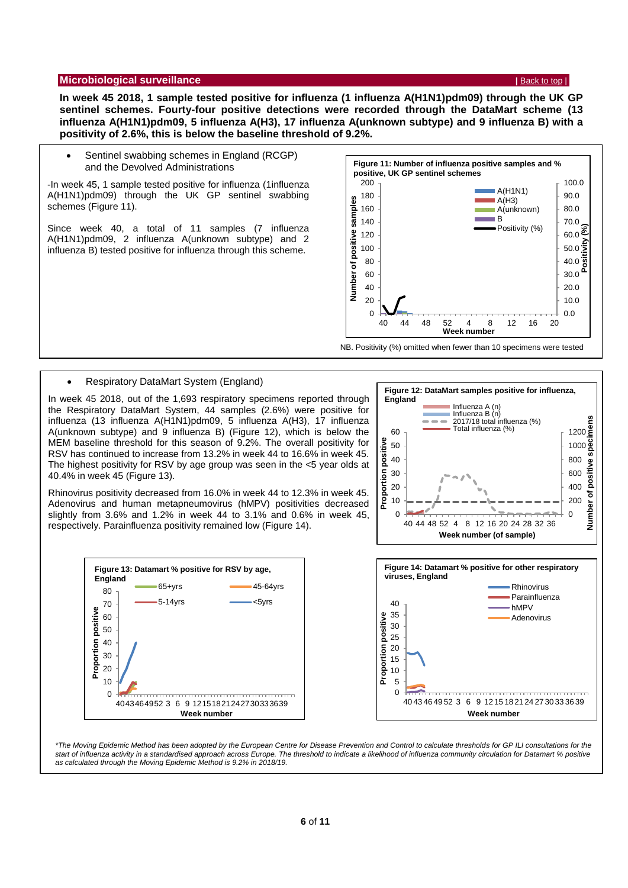#### <span id="page-5-0"></span>**Microbiological surveillance <b>***[Back to top](#page-0-1) | Back to top | Back to top | Back to top | Back to top | Back to top | Back to top | Back to top | Back to top | Back to top | Back to top | Back to top | Back to top | Back t*

**In week 45 2018, 1 sample tested positive for influenza (1 influenza A(H1N1)pdm09) through the UK GP sentinel schemes. Fourty-four positive detections were recorded through the DataMart scheme (13 influenza A(H1N1)pdm09, 5 influenza A(H3), 17 influenza A(unknown subtype) and 9 influenza B) with a positivity of 2.6%, this is below the baseline threshold of 9.2%.**

 Sentinel swabbing schemes in England (RCGP) and the Devolved Administrations

-In week 45, 1 sample tested positive for influenza (1influenza A(H1N1)pdm09) through the UK GP sentinel swabbing schemes (Figure 11).

Since week 40, a total of 11 samples (7 influenza A(H1N1)pdm09, 2 influenza A(unknown subtype) and 2 influenza B) tested positive for influenza through this scheme.



NB. Positivity (%) omitted when fewer than 10 specimens were tested

#### Respiratory DataMart System (England)

In week 45 2018, out of the 1,693 respiratory specimens reported through the Respiratory DataMart System, 44 samples (2.6%) were positive for influenza (13 influenza A(H1N1)pdm09, 5 influenza A(H3), 17 influenza A(unknown subtype) and 9 influenza B) (Figure 12), which is below the MEM baseline threshold for this season of 9.2%. The overall positivity for RSV has continued to increase from 13.2% in week 44 to 16.6% in week 45. The highest positivity for RSV by age group was seen in the <5 year olds at 40.4% in week 45 (Figure 13).



Rhinovirus positivity decreased from 16.0% in week 44 to 12.3% in week 45. Adenovirus and human metapneumovirus (hMPV) positivities decreased slightly from 3.6% and 1.2% in week 44 to 3.1% and 0.6% in week 45, respectively. Parainfluenza positivity remained low (Figure 14).





*\*The Moving Epidemic Method has been adopted by the European Centre for Disease Prevention and Control to calculate thresholds for GP ILI consultations for the*  start of influenza activity in a standardised approach across Europe. The threshold to indicate a likelihood of influenza community circulation for Datamart % positive *as calculated through the Moving Epidemic Method is 9.2% in 2018/19.*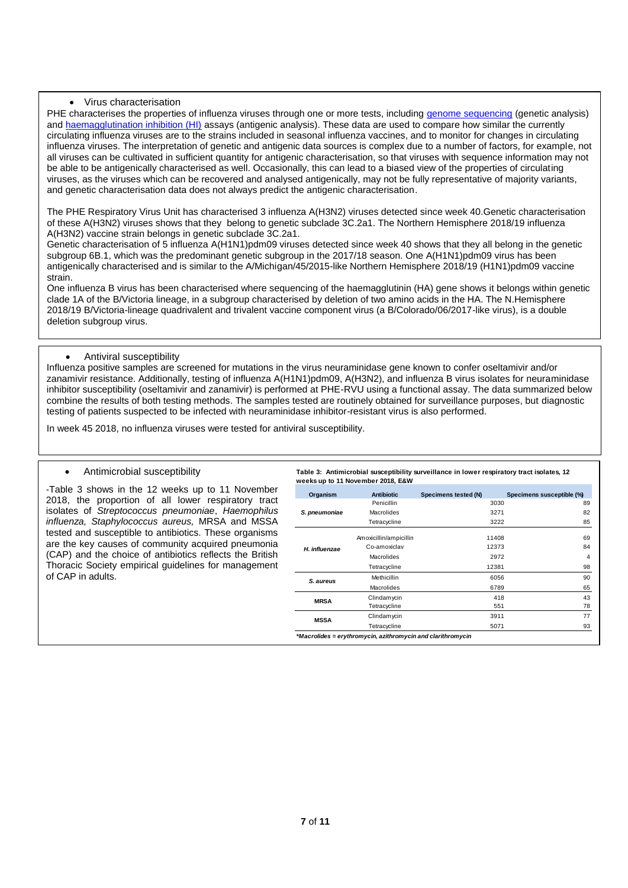#### Virus characterisation

PHE characterises the properties of influenza viruses through one or more tests, including [genome sequencing](http://www.cdc.gov/flu/professionals/laboratory/genetic-characterization.htm) (genetic analysis) and [haemagglutination inhibition \(HI\)](http://www.cdc.gov/flu/professionals/laboratory/antigenic.htm) assays (antigenic analysis). These data are used to compare how similar the currently circulating influenza viruses are to the strains included in seasonal influenza vaccines, and to monitor for changes in circulating influenza viruses. The interpretation of genetic and antigenic data sources is complex due to a number of factors, for example, not all viruses can be cultivated in sufficient quantity for antigenic characterisation, so that viruses with sequence information may not be able to be antigenically characterised as well. Occasionally, this can lead to a biased view of the properties of circulating viruses, as the viruses which can be recovered and analysed antigenically, may not be fully representative of majority variants, and genetic characterisation data does not always predict the antigenic characterisation.

The PHE Respiratory Virus Unit has characterised 3 influenza A(H3N2) viruses detected since week 40.Genetic characterisation of these A(H3N2) viruses shows that they belong to genetic subclade 3C.2a1. The Northern Hemisphere 2018/19 influenza A(H3N2) vaccine strain belongs in genetic subclade 3C.2a1.

Genetic characterisation of 5 influenza A(H1N1)pdm09 viruses detected since week 40 shows that they all belong in the genetic subgroup 6B.1, which was the predominant genetic subgroup in the 2017/18 season. One A(H1N1)pdm09 virus has been antigenically characterised and is similar to the A/Michigan/45/2015-like Northern Hemisphere 2018/19 (H1N1)pdm09 vaccine strain.

One influenza B virus has been characterised where sequencing of the haemagglutinin (HA) gene shows it belongs within genetic clade 1A of the B/Victoria lineage, in a subgroup characterised by deletion of two amino acids in the HA. The N.Hemisphere 2018/19 B/Victoria-lineage quadrivalent and trivalent vaccine component virus (a B/Colorado/06/2017-like virus), is a double deletion subgroup virus.

#### Antiviral susceptibility

Influenza positive samples are screened for mutations in the virus neuraminidase gene known to confer oseltamivir and/or zanamivir resistance. Additionally, testing of influenza A(H1N1)pdm09, A(H3N2), and influenza B virus isolates for neuraminidase inhibitor susceptibility (oseltamivir and zanamivir) is performed at PHE-RVU using a functional assay. The data summarized below combine the results of both testing methods. The samples tested are routinely obtained for surveillance purposes, but diagnostic testing of patients suspected to be infected with neuraminidase inhibitor-resistant virus is also performed.

In week 45 2018, no influenza viruses were tested for antiviral susceptibility.

#### Antimicrobial susceptibility

-Table 3 shows in the 12 weeks up to 11 November 2018, the proportion of all lower respiratory tract isolates of *Streptococcus pneumoniae*, *Haemophilus influenza, Staphylococcus aureus,* MRSA and MSSA tested and susceptible to antibiotics. These organisms are the key causes of community acquired pneumonia (CAP) and the choice of antibiotics reflects the British Thoracic Society empirical guidelines for management of CAP in adults.

**Table 3: Antimicrobial susceptibility surveillance in lower respiratory tract isolates, 12 weeks up to 11 November 2018, E&W**

| Organism                                                    | <b>Antibiotic</b>      | Specimens tested (N) | Specimens susceptible (%) |  |  |  |
|-------------------------------------------------------------|------------------------|----------------------|---------------------------|--|--|--|
|                                                             | Penicillin             | 3030                 | 89                        |  |  |  |
| S. pneumoniae                                               | Macrolides             | 3271                 | 82                        |  |  |  |
|                                                             | Tetracycline           | 3222                 | 85                        |  |  |  |
|                                                             | Amoxicillin/ampicillin | 11408                | 69                        |  |  |  |
| H. influenzae                                               | Co-amoxiclav           | 12373                | 84                        |  |  |  |
|                                                             | Macrolides             | 2972                 | 4                         |  |  |  |
|                                                             | Tetracycline           | 12381                | 98                        |  |  |  |
| S. aureus                                                   | Methicillin            | 6056                 | 90                        |  |  |  |
|                                                             | Macrolides             | 6789                 | 65                        |  |  |  |
| <b>MRSA</b>                                                 | Clindamycin            | 418                  | 43                        |  |  |  |
|                                                             | Tetracycline           | 551                  | 78                        |  |  |  |
| <b>MSSA</b>                                                 | Clindamycin            | 3911                 | 77                        |  |  |  |
|                                                             | Tetracycline           | 5071                 | 93                        |  |  |  |
| *Macrolides = erythromycin, azithromycin and clarithromycin |                        |                      |                           |  |  |  |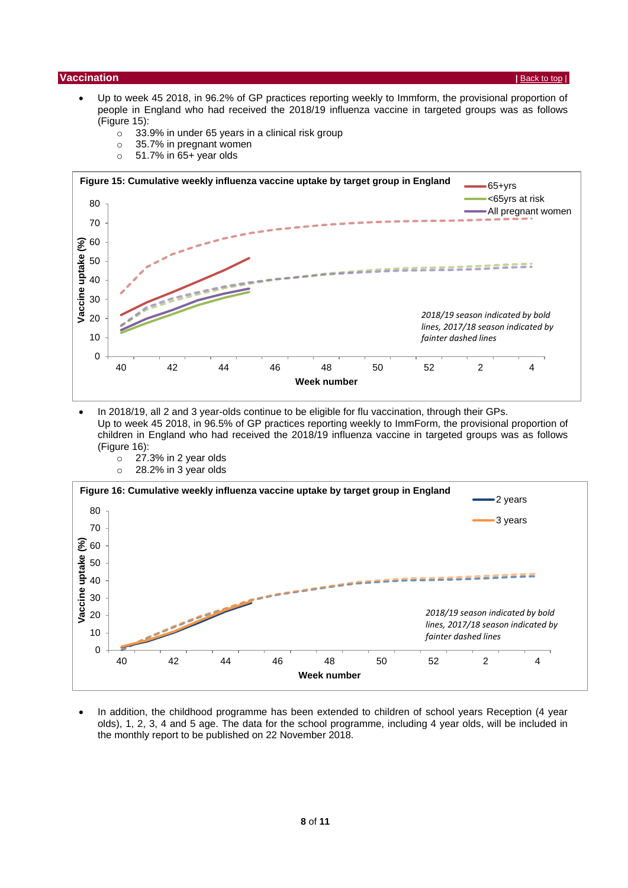#### <span id="page-7-0"></span>**| Vaccination** | **[Back to top](#page-0-1) | <b>Back to top | CALC TOP | <b>BACK** TOP | **BACK** TOP | **BACK** TOP | **BACK** TOP | **BACK** TOP | **BACK** TOP | **BACK** TOP | **BACK** TOP | **BACK** TOP | **BACK** TOP | **BACK** TOP | **BACK** TOP | **BAC**

- Up to week 45 2018, in 96.2% of GP practices reporting weekly to Immform, the provisional proportion of people in England who had received the 2018/19 influenza vaccine in targeted groups was as follows (Figure 15):
	- $\circ$  33.9% in under 65 years in a clinical risk group
	- o 35.7% in pregnant women
	- $\circ$  51.7% in 65+ year olds



• In 2018/19, all 2 and 3 year-olds continue to be eligible for flu vaccination, through their GPs. Up to week 45 2018, in 96.5% of GP practices reporting weekly to ImmForm, the provisional proportion of children in England who had received the 2018/19 influenza vaccine in targeted groups was as follows (Figure 16):



• In addition, the childhood programme has been extended to children of school years Reception (4 year olds), 1, 2, 3, 4 and 5 age. The data for the school programme, including 4 year olds, will be included in the monthly report to be published on 22 November 2018.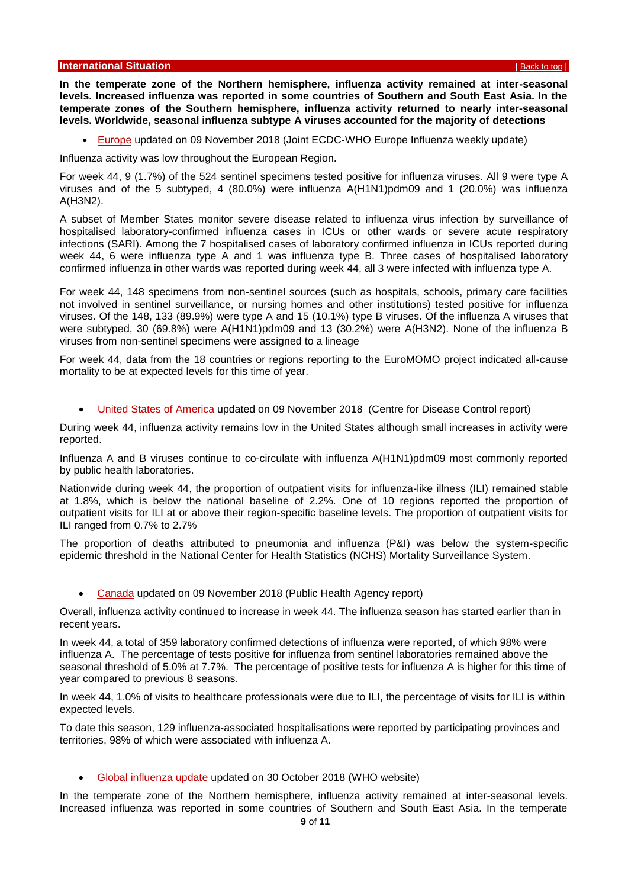<span id="page-8-0"></span>**In the temperate zone of the Northern hemisphere, influenza activity remained at inter-seasonal levels. Increased influenza was reported in some countries of Southern and South East Asia. In the temperate zones of the Southern hemisphere, influenza activity returned to nearly inter-seasonal levels. Worldwide, seasonal influenza subtype A viruses accounted for the majority of detections**

[Europe](http://flunewseurope.org/) updated on 09 November 2018 (Joint ECDC-WHO Europe Influenza weekly update)

Influenza activity was low throughout the European Region.

For week 44, 9 (1.7%) of the 524 sentinel specimens tested positive for influenza viruses. All 9 were type A viruses and of the 5 subtyped, 4 (80.0%) were influenza A(H1N1)pdm09 and 1 (20.0%) was influenza A(H3N2).

A subset of Member States monitor severe disease related to influenza virus infection by surveillance of hospitalised laboratory-confirmed influenza cases in ICUs or other wards or severe acute respiratory infections (SARI). Among the 7 hospitalised cases of laboratory confirmed influenza in ICUs reported during week 44, 6 were influenza type A and 1 was influenza type B. Three cases of hospitalised laboratory confirmed influenza in other wards was reported during week 44, all 3 were infected with influenza type A.

For week 44, 148 specimens from non-sentinel sources (such as hospitals, schools, primary care facilities not involved in sentinel surveillance, or nursing homes and other institutions) tested positive for influenza viruses. Of the 148, 133 (89.9%) were type A and 15 (10.1%) type B viruses. Of the influenza A viruses that were subtyped, 30 (69.8%) were A(H1N1)pdm09 and 13 (30.2%) were A(H3N2). None of the influenza B viruses from non-sentinel specimens were assigned to a lineage

For week 44, data from the 18 countries or regions reporting to the EuroMOMO project indicated all-cause mortality to be at expected levels for this time of year.

[United States of America](http://www.cdc.gov/flu/weekly/) updated on 09 November 2018 (Centre for Disease Control report)

During week 44, influenza activity remains low in the United States although small increases in activity were reported.

Influenza A and B viruses continue to co-circulate with influenza A(H1N1)pdm09 most commonly reported by public health laboratories.

Nationwide during week 44, the proportion of outpatient visits for influenza-like illness (ILI) remained stable at 1.8%, which is below the national baseline of 2.2%. One of 10 regions reported the proportion of outpatient visits for ILI at or above their region-specific baseline levels. The proportion of outpatient visits for ILI ranged from 0.7% to 2.7%

The proportion of deaths attributed to pneumonia and influenza (P&I) was below the system-specific epidemic threshold in the National Center for Health Statistics (NCHS) Mortality Surveillance System.

[Canada](http://healthycanadians.gc.ca/diseases-conditions-maladies-affections/disease-maladie/flu-grippe/surveillance/fluwatch-reports-rapports-surveillance-influenza-eng.php) updated on 09 November 2018 (Public Health Agency report)

Overall, influenza activity continued to increase in week 44. The influenza season has started earlier than in recent years.

In week 44, a total of 359 laboratory confirmed detections of influenza were reported, of which 98% were influenza A. The percentage of tests positive for influenza from sentinel laboratories remained above the seasonal threshold of 5.0% at 7.7%. The percentage of positive tests for influenza A is higher for this time of year compared to previous 8 seasons.

In week 44, 1.0% of visits to healthcare professionals were due to ILI, the percentage of visits for ILI is within expected levels.

To date this season, 129 influenza-associated hospitalisations were reported by participating provinces and territories, 98% of which were associated with influenza A.

[Global influenza update](http://www.who.int/influenza/surveillance_monitoring/updates/latest_update_GIP_surveillance/en/index.html) updated on 30 October 2018 (WHO website)

In the temperate zone of the Northern hemisphere, influenza activity remained at inter-seasonal levels. Increased influenza was reported in some countries of Southern and South East Asia. In the temperate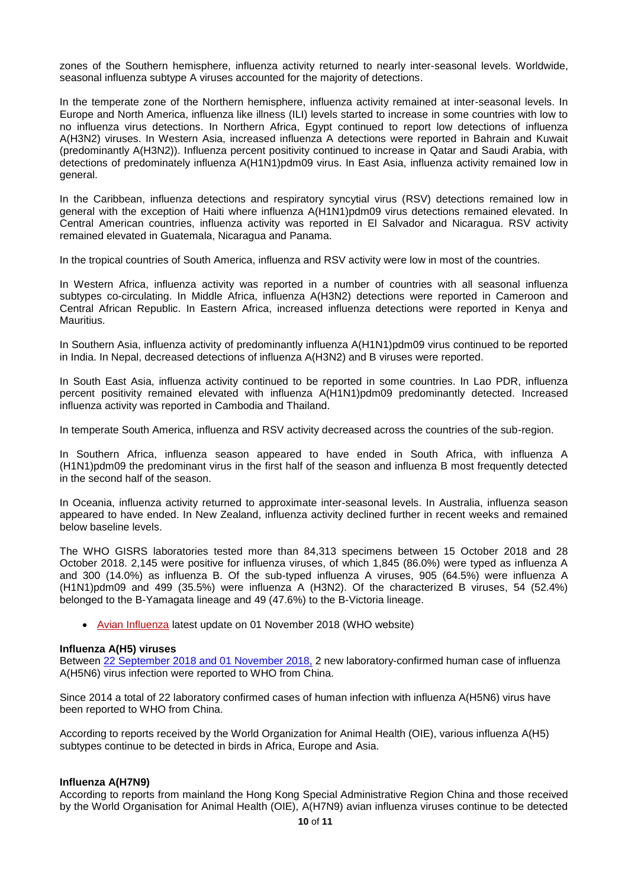zones of the Southern hemisphere, influenza activity returned to nearly inter-seasonal levels. Worldwide, seasonal influenza subtype A viruses accounted for the majority of detections.

In the temperate zone of the Northern hemisphere, influenza activity remained at inter-seasonal levels. In Europe and North America, influenza like illness (ILI) levels started to increase in some countries with low to no influenza virus detections. In Northern Africa, Egypt continued to report low detections of influenza A(H3N2) viruses. In Western Asia, increased influenza A detections were reported in Bahrain and Kuwait (predominantly A(H3N2)). Influenza percent positivity continued to increase in Qatar and Saudi Arabia, with detections of predominately influenza A(H1N1)pdm09 virus. In East Asia, influenza activity remained low in general.

In the Caribbean, influenza detections and respiratory syncytial virus (RSV) detections remained low in general with the exception of Haiti where influenza A(H1N1)pdm09 virus detections remained elevated. In Central American countries, influenza activity was reported in El Salvador and Nicaragua. RSV activity remained elevated in Guatemala, Nicaragua and Panama.

In the tropical countries of South America, influenza and RSV activity were low in most of the countries.

In Western Africa, influenza activity was reported in a number of countries with all seasonal influenza subtypes co-circulating. In Middle Africa, influenza A(H3N2) detections were reported in Cameroon and Central African Republic. In Eastern Africa, increased influenza detections were reported in Kenya and Mauritius.

In Southern Asia, influenza activity of predominantly influenza A(H1N1)pdm09 virus continued to be reported in India. In Nepal, decreased detections of influenza A(H3N2) and B viruses were reported.

In South East Asia, influenza activity continued to be reported in some countries. In Lao PDR, influenza percent positivity remained elevated with influenza A(H1N1)pdm09 predominantly detected. Increased influenza activity was reported in Cambodia and Thailand.

In temperate South America, influenza and RSV activity decreased across the countries of the sub-region.

In Southern Africa, influenza season appeared to have ended in South Africa, with influenza A (H1N1)pdm09 the predominant virus in the first half of the season and influenza B most frequently detected in the second half of the season.

In Oceania, influenza activity returned to approximate inter-seasonal levels. In Australia, influenza season appeared to have ended. In New Zealand, influenza activity declined further in recent weeks and remained below baseline levels.

The WHO GISRS laboratories tested more than 84,313 specimens between 15 October 2018 and 28 October 2018. 2,145 were positive for influenza viruses, of which 1,845 (86.0%) were typed as influenza A and 300 (14.0%) as influenza B. Of the sub-typed influenza A viruses, 905 (64.5%) were influenza A (H1N1)pdm09 and 499 (35.5%) were influenza A (H3N2). Of the characterized B viruses, 54 (52.4%) belonged to the B-Yamagata lineage and 49 (47.6%) to the B-Victoria lineage.

[Avian Influenza](http://www.who.int/csr/disease/avian_influenza/en/) latest update on 01 November 2018 (WHO website)

#### **Influenza A(H5) viruses**

Between 22 September [2018 and 01 November 2018,](http://www.who.int/influenza/human_animal_interface/Influenza_Summary_IRA_HA_interface_01_11_2018.pdf?ua=1) 2 new laboratory-confirmed human case of influenza A(H5N6) virus infection were reported to WHO from China.

Since 2014 a total of 22 laboratory confirmed cases of human infection with influenza A(H5N6) virus have been reported to WHO from China.

According to reports received by the World Organization for Animal Health (OIE), various influenza A(H5) subtypes continue to be detected in birds in Africa, Europe and Asia.

#### **Influenza A(H7N9)**

According to reports from mainland the Hong Kong Special Administrative Region China and those received by the World Organisation for Animal Health (OIE), A(H7N9) avian influenza viruses continue to be detected